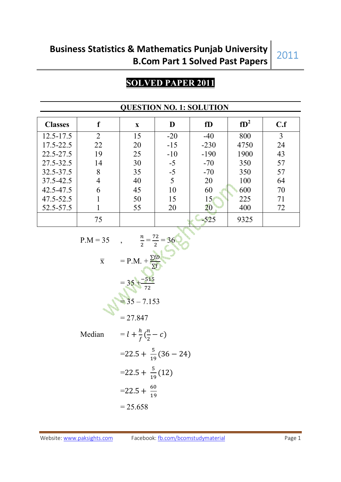# **Business Statistics & Mathematics Punjab University B.Com Part 1 Solved Past Papers**

# 2011

### **SOLVED PAPER 2011**

| <b>Classes</b> |                | $\mathbf{X}$ | D     | fD     | $fD^2$ | C.f |
|----------------|----------------|--------------|-------|--------|--------|-----|
| $12.5 - 17.5$  | $\overline{2}$ | 15           | $-20$ | $-40$  | 800    | 3   |
| 17.5-22.5      | 22             | 20           | $-15$ | $-230$ | 4750   | 24  |
| $22.5 - 27.5$  | 19             | 25           | $-10$ | $-190$ | 1900   | 43  |
| 27.5-32.5      | 14             | 30           | $-5$  | $-70$  | 350    | 57  |
| 32.5-37.5      | 8              | 35           | $-5$  | $-70$  | 350    | 57  |
| 37.5-42.5      | 4              | 40           | 5     | 20     | 100    | 64  |
| 42.5-47.5      | 6              | 45           | 10    | 60     | 600    | 70  |
| 47.5-52.5      |                | 50           | 15    | 15     | 225    | 71  |
| 52.5-57.5      |                | 55           | 20    | $20\,$ | 400    | 72  |
|                | 75             |              |       | $-525$ | 9325   |     |

### **QUESTION NO. 1: SOLUTION**

$$
P.M = 35 \t, \t \frac{n}{2} = \frac{72}{2} = 36
$$
  
\n
$$
\overline{x} = P.M. + \frac{\sum fD}{\sum f}
$$
  
\n
$$
= 35 + \frac{-515}{72}
$$
  
\n
$$
= 35 - 7.153
$$
  
\n
$$
= 27.847
$$
  
\nMedian 
$$
= l + \frac{h}{f} (\frac{n}{2} - c)
$$
  
\n
$$
= 22.5 + \frac{5}{19} (36 - 24)
$$
  
\n
$$
= 22.5 + \frac{5}{19} (12)
$$
  
\n
$$
= 22.5 + \frac{60}{19}
$$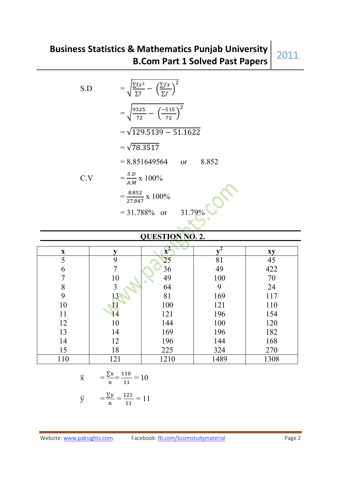| S.D | $= \sqrt{\frac{\sum fx^2}{\sum f}} - \left(\frac{\sum fx}{\sum f}\right)^2$ |
|-----|-----------------------------------------------------------------------------|
|     | $=\sqrt{\frac{9325}{72}}-\left(\frac{-515}{72}\right)^2$                    |
|     | $=\sqrt{129.5139 - 51.1622}$                                                |
|     | $=\sqrt{78.3517}$                                                           |
|     | $= 8.851649564$ or<br>8.852                                                 |
| C.V | $=\frac{S.D}{A.M} \times 100\%$                                             |
|     | $=\frac{8.852}{27.847} \times 100\%$                                        |
|     | $= 31.788\%$ or<br>31.79%                                                   |
|     |                                                                             |

### **QUESTION NO. 2.**

| $\boldsymbol{\mathrm{X}}$ |     | $\mathbf{x}$ |      | xy   |
|---------------------------|-----|--------------|------|------|
| 5                         | 9   | 25           | 81   | 45   |
| 6                         |     | 36           | 49   | 422  |
|                           | 10  | 49           | 100  | 70   |
| 8                         | 3   | 64           | 9    | 24   |
| 9                         | 13  | 81           | 169  | 117  |
| 10                        |     | 100          | 121  | 110  |
| 11                        | 4   | 121          | 196  | 154  |
| 12                        | 10  | 144          | 100  | 120  |
| 13                        | 14  | 169          | 196  | 182  |
| 14                        | 12  | 196          | 144  | 168  |
| 15                        | 18  | 225          | 324  | 270  |
| 110                       | 121 | 1210         | 1489 | 1308 |

$$
\bar{x} = \frac{\sum x}{n} = \frac{110}{11} = 10
$$

$$
\overline{y} = \frac{\sum y}{n} = \frac{121}{11} = 11
$$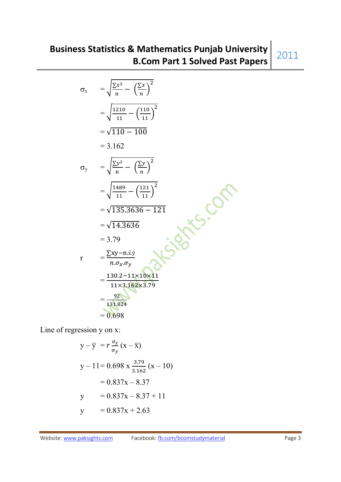$$
\sigma_{x} = \sqrt{\frac{\sum x^{2}}{n} - (\frac{\sum x}{n})^{2}}
$$
\n
$$
= \sqrt{\frac{1210}{11} - (\frac{110}{11})^{2}}
$$
\n
$$
= \sqrt{110 - 100}
$$
\n
$$
= 3.162
$$
\n
$$
\sigma_{y} = \sqrt{\frac{\sum y^{2}}{n} - (\frac{\sum y}{n})^{2}}
$$
\n
$$
= \sqrt{\frac{1489}{11} - (\frac{121}{11})^{2}}
$$
\n
$$
= \sqrt{135.3636 - 121}
$$
\n
$$
= \sqrt{14.3636}
$$
\n
$$
= 3.79
$$
\n
$$
r = \frac{\sum xy - n.\bar{x}\bar{y}}{n.\sigma_{x}.\sigma_{y}}
$$
\n
$$
= \frac{130.2 - 11 \times 10 \times 11}{11 \times 3.162 \times 3.79}
$$
\n
$$
= \frac{92}{131.824}
$$
\n
$$
= 0.698
$$

Line of regression y on x:

$$
y - \overline{y} = r \frac{\sigma_x}{\sigma_y} (x - \overline{x})
$$
  
\n
$$
y - 11 = 0.698 \times \frac{3.79}{3.162} (x - 10)
$$
  
\n
$$
= 0.837x - 8.37
$$
  
\n
$$
y = 0.837x - 8.37 + 11
$$
  
\n
$$
y = 0.837x + 2.63
$$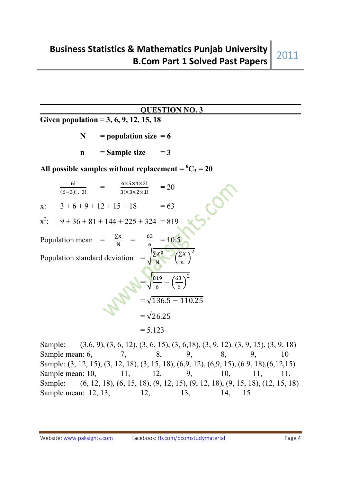### **QUESTION NO. 3**

**Given population = 3, 6, 9, 12, 15, 18** 

- $N = population size = 6$
- $n =$ Sample size  $= 3$

All possible samples without replacement =  ${}^6C_3$  = 20

|         | 6!<br>$(6-3)!$ . 3!                                     | $6\times5\times4\times3!$<br>$3! \times 3 \times 2 \times 1!$ | $= 20$                                        |  |
|---------|---------------------------------------------------------|---------------------------------------------------------------|-----------------------------------------------|--|
| x:      | $3+6+9+12+15+18$                                        |                                                               | $= 63$                                        |  |
| $x^2$ : | $9 + 36 + 81 + 144 + 225 + 324 = 819$                   |                                                               |                                               |  |
|         | Population mean = $\frac{\Sigma x}{N}$ = $\frac{63}{6}$ |                                                               | $=10.5$                                       |  |
|         | Population standard deviation                           |                                                               | $\left(\frac{\sum X}{\sum X}\right)^2$        |  |
|         |                                                         |                                                               | $\frac{819}{6} - \left(\frac{63}{6}\right)^2$ |  |
|         |                                                         |                                                               | $\sqrt{136.5 - 110.25}$                       |  |
|         |                                                         | $=\sqrt{26.25}$                                               |                                               |  |
|         |                                                         | $= 5.123$                                                     |                                               |  |

Sample: (3,6, 9), (3, 6, 12), (3, 6, 15), (3, 6, 18), (3, 9, 12). (3, 9, 15), (3, 9, 18) Sample mean: 6, 2, 3, 9, 8, 9, 10 Sample: (3, 12, 15), (3, 12, 18), (3, 15, 18), (6,9, 12), (6,9, 15), (6 9, 18),(6,12,15) Sample mean: 10, 11, 12, 9, 10, 11, 11, Sample: (6, 12, 18), (6, 15, 18), (9, 12, 15), (9, 12, 18), (9, 15, 18), (12, 15, 18) Sample mean: 12, 13, 12, 13, 14, 15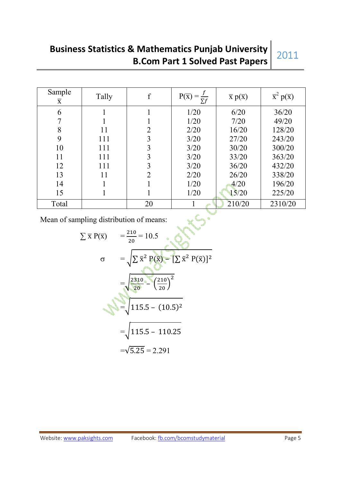# **Business Statistics & Mathematics Punjab University B.Com Part 1 Solved Past Papers**

# 2011

| Sample<br>$\overline{\mathbf{X}}$ | Tally |    | $P(\overline{x})$<br>$\sum f$ | $\overline{x} p(\overline{x})$ | $\overline{x}^2 p(\overline{x})$ |
|-----------------------------------|-------|----|-------------------------------|--------------------------------|----------------------------------|
| 6                                 |       |    | 1/20                          | 6/20                           | 36/20                            |
| 7                                 |       |    | 1/20                          | 7/20                           | 49/20                            |
| 8                                 | 11    | 2  | 2/20                          | 16/20                          | 128/20                           |
| 9                                 | 111   | 3  | 3/20                          | 27/20                          | 243/20                           |
| 10                                | 111   | 3  | 3/20                          | 30/20                          | 300/20                           |
| 11                                | 111   | 3  | 3/20                          | 33/20                          | 363/20                           |
| 12                                | 111   | 3  | 3/20                          | 36/20                          | 432/20                           |
| 13                                | 11    | 2  | 2/20                          | 26/20                          | 338/20                           |
| 14                                |       |    | 1/20                          | 4/20                           | 196/20                           |
| 15                                |       |    | 1/20                          | 15/20                          | 225/20                           |
| Total                             |       | 20 |                               | 210/20                         | 2310/20                          |

Mean of sampling distribution of means:

Mean of sampling distribution of means:  
\n
$$
\sum \overline{x} P(\overline{x}) = \frac{210}{20} = 10.5
$$
\n
$$
\sigma = \sqrt{\sum \overline{x}^2 P(\overline{x}) - [\sum \overline{x}^2 P(\overline{x})]^2}
$$
\n
$$
= \sqrt{\frac{2310}{20} - (\frac{210}{20})^2}
$$
\n
$$
= \sqrt{115.5 - (10.5)^2}
$$
\n
$$
= \sqrt{115.5 - 110.25}
$$
\n
$$
= \sqrt{5.25} = 2.291
$$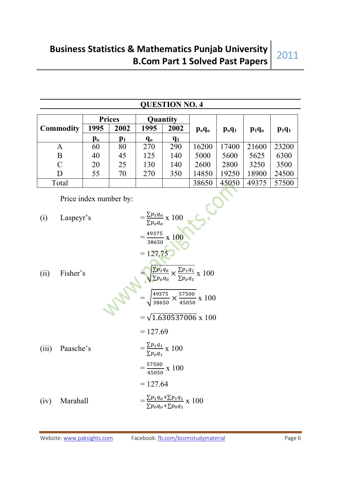| <u>QUESTION NO. 4</u> |                        |                           |               |                                                                                                                  |                                                                                                                                                                                                                |                                  |          |          |          |  |
|-----------------------|------------------------|---------------------------|---------------|------------------------------------------------------------------------------------------------------------------|----------------------------------------------------------------------------------------------------------------------------------------------------------------------------------------------------------------|----------------------------------|----------|----------|----------|--|
|                       |                        |                           | <b>Prices</b> |                                                                                                                  | Quantity                                                                                                                                                                                                       |                                  |          |          |          |  |
|                       | <b>Commodity</b>       | 1995                      | 2002          | 1995                                                                                                             | 2002                                                                                                                                                                                                           | $p_o q_o$                        | $p_0q_1$ | $p_1q_0$ | $p_1q_1$ |  |
|                       |                        | $\mathbf{p}_{\mathbf{0}}$ | $p_1$         | $q_{o}$                                                                                                          | $q_1$                                                                                                                                                                                                          |                                  |          |          |          |  |
|                       | A                      | 60                        | 80            | 270                                                                                                              | 290                                                                                                                                                                                                            | 16200                            | 17400    | 21600    | 23200    |  |
|                       | B                      | 40                        | 45            | 125                                                                                                              | 140                                                                                                                                                                                                            | 5000                             | 5600     | 5625     | 6300     |  |
| $\mathcal{C}$         |                        | 20                        | 25            | 130                                                                                                              | 140                                                                                                                                                                                                            | 2600                             | 2800     | 3250     | 3500     |  |
|                       | D                      | 55                        | 70            | 270                                                                                                              | 350                                                                                                                                                                                                            | 14850                            | 19250    | 18900    | 24500    |  |
|                       | Total                  |                           |               |                                                                                                                  |                                                                                                                                                                                                                | 38650                            | 45050    | 49375    | 57500    |  |
|                       | Price index number by: |                           |               |                                                                                                                  |                                                                                                                                                                                                                |                                  |          |          |          |  |
| (i)                   | Laspeyr's              |                           |               |                                                                                                                  | $=\frac{\sum p_1 q_o}{\sum p_o q_o} \times 100$                                                                                                                                                                |                                  |          |          |          |  |
| (ii)                  | Fisher's               |                           |               |                                                                                                                  | $=\frac{49375}{38650}$ x 100<br>$= 127.75$ .<br>$\frac{\sum p_1 q_0}{\sum p_0 q_0} \times \frac{\sum p_1 q_1}{\sum p_0 q_1} \times 100$<br>$=\sqrt{\frac{49375}{38650}} \times \frac{57500}{45050} \times 100$ |                                  |          |          |          |  |
| (iii)                 | Paasche's              |                           |               | $= 127.69$<br>$=\frac{\sum p_1 q_1}{\sum p_0 q_1} \times 100$<br>$=\frac{57500}{45050} \times 100$<br>$= 127.64$ |                                                                                                                                                                                                                | $=\sqrt{1.630537006} \times 100$ |          |          |          |  |
| (iv)                  | Marahall               |                           |               |                                                                                                                  | $=\frac{\sum p_1 q_0 + \sum p_1 q_1}{\sum p_0 q_0 + \sum p_0 q_1} \times 100$                                                                                                                                  |                                  |          |          |          |  |

### **QUESTION NO. 4**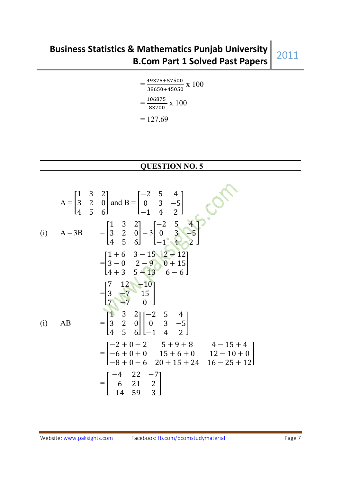$$
= \frac{49375 + 57500}{38650 + 45050} \times 100
$$

$$
= \frac{106875}{83700} \times 100
$$

$$
= 127.69
$$

### **QUESTION NO. 5**

$$
A = \begin{bmatrix} 1 & 3 & 2 \\ 3 & 2 & 0 \\ 4 & 5 & 6 \end{bmatrix} \text{ and } B = \begin{bmatrix} -2 & 5 & 4 \\ 0 & 3 & -5 \\ -1 & 4 & 2 \end{bmatrix}
$$
  
\n(i) 
$$
A - 3B = \begin{bmatrix} 1 & 3 & 2 \\ 3 & 2 & 0 \\ 4 & 5 & 6 \end{bmatrix} - 3 \begin{bmatrix} -2 & 5 & 4 \\ 0 & 3 & -5 \\ -1 & 4 & 2 \end{bmatrix}
$$
  
\n
$$
= \begin{bmatrix} 1+6 & 3-15 & 2-12 \\ 3-0 & 2-9 & 0+15 \\ 4+3 & 5-13 & 6-6 \end{bmatrix}
$$
  
\n
$$
= \begin{bmatrix} 7 & 12 & -10 \\ 3 & 7 & 15 \\ 7 & 7 & 0 \end{bmatrix}
$$
  
\n(i) AB = 
$$
\begin{bmatrix} 7 & 12 & -10 \\ 3 & 2 & 0 \\ 4 & 5 & 6 \end{bmatrix} \begin{bmatrix} -2 & 5 & 4 \\ 0 & 3 & -5 \\ -1 & 4 & 2 \end{bmatrix}
$$
  
\n
$$
= \begin{bmatrix} -2+0-2 & 5+9+8 & 4-15+4 \\ -6+0+0 & 15+6+0 & 12-10+0 \\ -8+0-6 & 20+15+24 & 16-25+12 \end{bmatrix}
$$
  
\n
$$
= \begin{bmatrix} -4 & 22 & -7 \\ -6 & 21 & 2 \\ -14 & 59 & 3 \end{bmatrix}
$$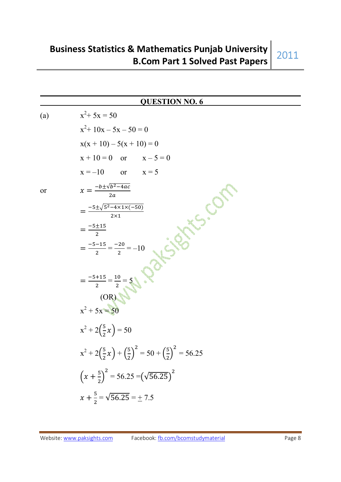### **QUESTION NO. 6**

 $(a)$  $x^2$  + 5x = 50 x  $x^2+10x-5x-50=0$  $x(x + 10) - 5(x + 10) = 0$  $x + 10 = 0$  or  $x - 5 = 0$  $x = -10$  or  $x = 5$ or  $x = \frac{-b \pm \sqrt{b^2 - 4ac}}{2a}$  $2a$  $=\frac{-5\pm\sqrt{5^2-4\times1\times(-50)}}{2\times1}$  $2\times1$  $=\frac{-5 \pm 15}{2}$ -  $=\frac{-5-15}{2}$  $\frac{-15}{2} = \frac{-20}{2}$  $\frac{20}{2} = -10$  $=\frac{-5+15}{2}$  $\frac{+15}{2} = \frac{10}{2}$  $\frac{10}{2} = 5$  (OR)  $x^2 + 5x = 50$  $x^2 + 2\left(\frac{5}{2}\right)$  $+2(\frac{3}{2}x)=50$  $x^2 + 2\left(\frac{5}{2}\right)$  $(\frac{5}{2}x) + (\frac{5}{2}x)$  $\frac{1}{2}$  $^2 = 50 + (\frac{5}{3})$  $\frac{1}{2}$  $= 56.25$  $\left(x+\frac{5}{2}\right)$  $\sigma^2$  = 56.25 =  $(\sqrt{56.25})^2$  $x + \frac{5}{2} = \sqrt{56.25} = \pm 7.5$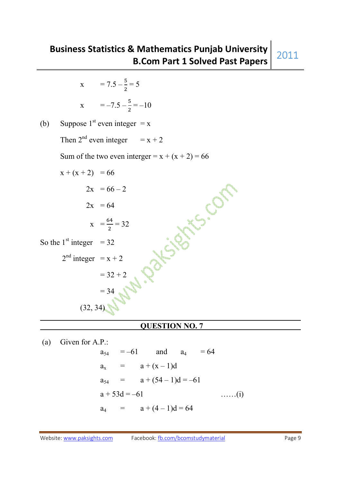$$
x = -7.5 - \frac{5}{2} = -10
$$

(b) Suppose 1<sup>st</sup> even integer = x

Then  $2^{nd}$  even integer =  $x + 2$ 

Sum of the two even interger =  $x + (x + 2) = 66$ 

 $x + (x + 2) = 66$ A Partisis Con  $2x = 66 - 2$  $2x = 64$  $X = \frac{64}{3}$  $\frac{34}{2}$  = 32 So the  $1<sup>st</sup>$  integer = 32  $2<sup>nd</sup> integer = x + 2$  $= 32 + 2$  $= 34$  $(32, 34)$ 

### **QUESTION NO. 7**

 (a) Given for A.P.:  $a_{54} = -61$  and  $a_4 = 64$  $a_x = a + (x - 1)d$  $a_{54} = a + (54 - 1)d = -61$  $a + 53d = -61$  ……(i)  $a_4 = a + (4-1)d = 64$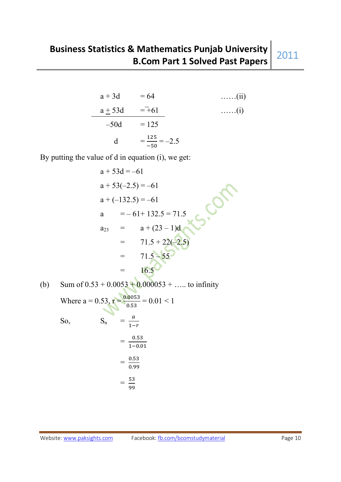a + 3d = 64 .......(ii)  
\na + 53d = -61 .......(i)  
\n-50d = 125  
\nd = 
$$
\frac{125}{-50}
$$
 = -2.5

By putting the value of d in equation (i), we get:

$$
a + 53d = -61
$$
  
\n
$$
a + 53(-2.5) = -61
$$
  
\n
$$
a + (-132.5) = -61
$$
  
\n
$$
a = -61 + 132.5 = 71.5
$$
  
\n
$$
a_{23} = a + (23 - 1)d
$$
  
\n
$$
= 71.5 + 22(-2.5)
$$
  
\n
$$
= 71.5 + 55
$$
  
\n
$$
= 16.5
$$

(b) Sum of 0.53 + 0.0053 + 0.000053 + ..... to infinity  
Where a = 0.53, 
$$
r = \frac{0.0053}{0.53} = 0.01 < 1
$$

 $\Delta$ 

So,  
\n
$$
S_n = \frac{a}{1-r}
$$
\n
$$
= \frac{0.53}{1-0.01}
$$
\n
$$
= \frac{0.53}{0.99}
$$
\n
$$
= \frac{53}{99}
$$